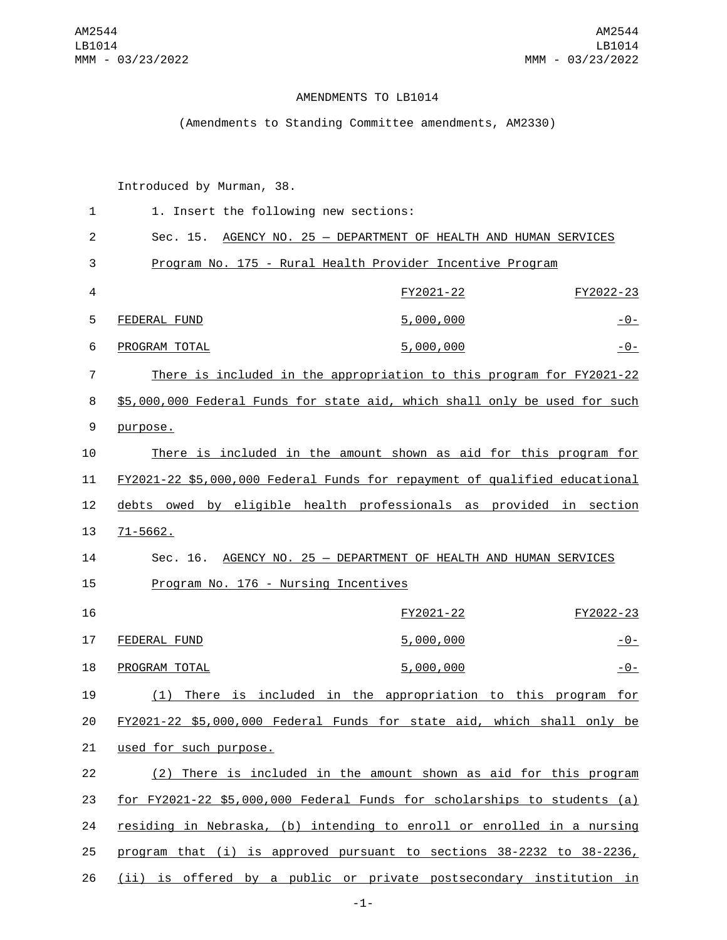## AMENDMENTS TO LB1014

## (Amendments to Standing Committee amendments, AM2330)

Introduced by Murman, 38.

| $\mathbf{1}$   | 1. Insert the following new sections:                                      |                                                                            |                |  |
|----------------|----------------------------------------------------------------------------|----------------------------------------------------------------------------|----------------|--|
| $\overline{2}$ | AGENCY NO. 25 - DEPARTMENT OF HEALTH AND HUMAN SERVICES<br>Sec. 15.        |                                                                            |                |  |
| 3              | Program No. 175 - Rural Health Provider Incentive Program                  |                                                                            |                |  |
| 4              |                                                                            | FY2021-22                                                                  | FY2022-23      |  |
| 5              | FEDERAL FUND                                                               | 5,000,000                                                                  | <u> - 0 - </u> |  |
| 6              | PROGRAM TOTAL                                                              | 5,000,000                                                                  | $-0-$          |  |
| 7              | There is included in the appropriation to this program for FY2021-22       |                                                                            |                |  |
| 8              |                                                                            | \$5,000,000 Federal Funds for state aid, which shall only be used for such |                |  |
| 9              | purpose.                                                                   |                                                                            |                |  |
| 10             | There is included in the amount shown as aid for this program for          |                                                                            |                |  |
| 11             | FY2021-22 \$5,000,000 Federal Funds for repayment of qualified educational |                                                                            |                |  |
| 12             | debts owed by eligible health professionals as provided in section         |                                                                            |                |  |
| 13             | $71 - 5662$ .                                                              |                                                                            |                |  |
| 14             | AGENCY NO. 25 - DEPARTMENT OF HEALTH AND HUMAN SERVICES<br>Sec. 16.        |                                                                            |                |  |
| 15             | Program No. 176 - Nursing Incentives                                       |                                                                            |                |  |
| 16             |                                                                            | FY2021-22                                                                  | FY2022-23      |  |
| 17             | FEDERAL FUND                                                               | 5,000,000                                                                  | <u>- 0 - </u>  |  |
| 18             | PROGRAM TOTAL                                                              | 5,000,000                                                                  | <u> - 0 - </u> |  |
| 19             | (1) There is included in the appropriation to this program                 |                                                                            | for            |  |
| 20             | FY2021-22 \$5,000,000 Federal Funds for state aid, which shall only be     |                                                                            |                |  |
| 21             | used for such purpose.                                                     |                                                                            |                |  |
| 22             | (2) There is included in the amount shown as aid for this program          |                                                                            |                |  |
| 23             | for FY2021-22 \$5,000,000 Federal Funds for scholarships to students (a)   |                                                                            |                |  |
| 24             | residing in Nebraska, (b) intending to enroll or enrolled in a nursing     |                                                                            |                |  |
| 25             | program that (i) is approved pursuant to sections 38-2232 to 38-2236,      |                                                                            |                |  |
| 26             | (ii) is offered by a public or private postsecondary institution in        |                                                                            |                |  |